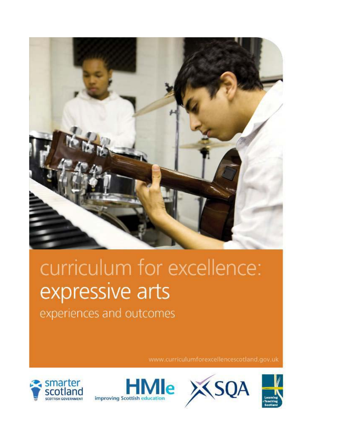

# curriculum for excellence: expressive arts

experiences and outcomes

www.curriculumforexcellencescotland.gov.uk









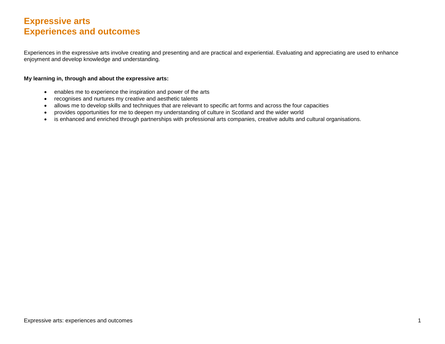# **Expressive arts Experiences and outcomes**

Experiences in the expressive arts involve creating and presenting and are practical and experiential. Evaluating and appreciating are used to enhance enjoyment and develop knowledge and understanding.

#### **My learning in, through and about the expressive arts:**

- enables me to experience the inspiration and power of the arts
- recognises and nurtures my creative and aesthetic talents
- allows me to develop skills and techniques that are relevant to specific art forms and across the four capacities
- provides opportunities for me to deepen my understanding of culture in Scotland and the wider world
- is enhanced and enriched through partnerships with professional arts companies, creative adults and cultural organisations.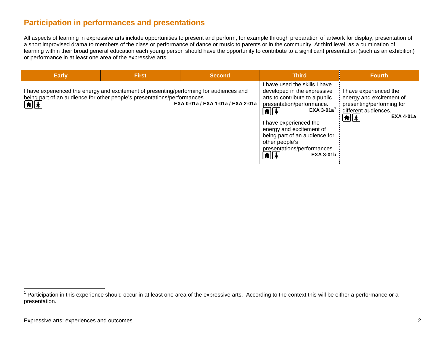## <span id="page-2-0"></span>**Participation in performances and presentations**

All aspects of learning in expressive arts include opportunities to present and perform, for example through preparation of artwork for display, presentation of a short improvised drama to members of the class or performance of dance or music to parents or in the community. At third level, as a culmination of learning within their broad general education each young person should have the opportunity to contribute to a significant presentation (such as an exhibition) or performance in at least one area of the expressive arts.

| <b>Early</b>         | <b>First</b>                                                                                                                                                        | <b>Second</b>                     | <b>Third</b>                                                                                                                                                                                                                                                                                                                                              | <b>Fourth</b>                                                                                                                                       |
|----------------------|---------------------------------------------------------------------------------------------------------------------------------------------------------------------|-----------------------------------|-----------------------------------------------------------------------------------------------------------------------------------------------------------------------------------------------------------------------------------------------------------------------------------------------------------------------------------------------------------|-----------------------------------------------------------------------------------------------------------------------------------------------------|
| $\boxed{\textbf{f}}$ | I have experienced the energy and excitement of presenting/performing for audiences and<br>being part of an audience for other people's presentations/performances. | EXA 0-01a / EXA 1-01a / EXA 2-01a | I have used the skills I have<br>developed in the expressive<br>arts to contribute to a public<br>presentation/performance.<br>EXA 3-01a $^1$<br>$\boxed{\textbf{f}}$<br>I have experienced the<br>energy and excitement of<br>being part of an audience for<br>other people's<br>presentations/performances.<br>$\boxed{\textbf{f}}$<br><b>EXA 3-01b</b> | I have experienced the<br>energy and excitement of<br>presenting/performing for<br>different audiences.<br>$\boxed{\textbf{f}}$<br><b>EXA 4-01a</b> |

 $1$  Participation in this experience should occur in at least one area of the expressive arts. According to the context this will be either a performance or a presentation.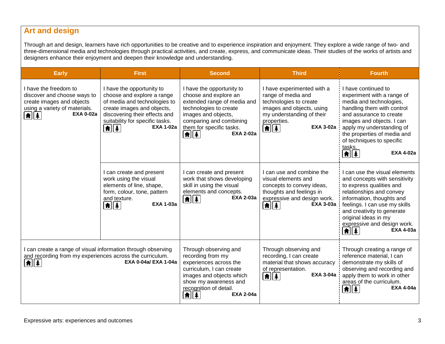# **Art and design**

Through art and design, learners have rich opportunities to be creative and to experience inspiration and enjoyment. They explore a wide range of two- and three-dimensional media and technologies through practical activities, and create, express, and communicate ideas. Their studies of the works of artists and designers enhance their enjoyment and deepen their knowledge and understanding.

| <b>Early</b>                                                                                                                              | <b>First</b>                                                                                                                                                                                                                                           | <b>Second</b>                                                                                                                                                                                                        | <b>Third</b>                                                                                                                                                                                                        | <b>Fourth</b>                                                                                                                                                                                                                                                                                                                                      |
|-------------------------------------------------------------------------------------------------------------------------------------------|--------------------------------------------------------------------------------------------------------------------------------------------------------------------------------------------------------------------------------------------------------|----------------------------------------------------------------------------------------------------------------------------------------------------------------------------------------------------------------------|---------------------------------------------------------------------------------------------------------------------------------------------------------------------------------------------------------------------|----------------------------------------------------------------------------------------------------------------------------------------------------------------------------------------------------------------------------------------------------------------------------------------------------------------------------------------------------|
| I have the freedom to<br>discover and choose ways to<br>create images and objects<br>using a variety of materials.<br><b>EXA 0-02a</b>    | I have the opportunity to<br>choose and explore a range<br>of media and technologies to<br>create images and objects,<br>discovering their effects and<br>suitability for specific tasks.<br><b>EXA 1-02a</b><br>$  \hat{\bm{\pi}}  \hat{\bm{\ast}}  $ | I have the opportunity to<br>choose and explore an<br>extended range of media and<br>technologies to create<br>images and objects,<br>comparing and combining<br>them for specific tasks.<br><b>EXA 2-02a</b><br>1 1 | I have experimented with a<br>range of media and<br>technologies to create<br>images and objects, using<br>my understanding of their<br>properties.<br><b>EXA 3-02a</b><br>$ \spadesuit $ $\spadesuit$ $ $          | I have continued to<br>experiment with a range of<br>media and technologies,<br>handling them with control<br>and assurance to create<br>images and objects. I can<br>apply my understanding of<br>the properties of media and<br>of techniques to specific<br>tasks.<br><b>EXA 4-02a</b><br>$  \hat{\mathbf{f}}  $                                |
|                                                                                                                                           | I can create and present<br>work using the visual<br>elements of line, shape,<br>form, colour, tone, pattern<br>and texture.<br><b>EXA 1-03a</b><br>$\left  \hat{\bm{\pi}} \right  \left  \hat{\bm{z}} \right $                                        | I can create and present<br>work that shows developing<br>skill in using the visual<br>elements and concepts.<br><b>EXA 2-03a</b><br>$\left  \mathbf{f} \right $                                                     | I can use and combine the<br>visual elements and<br>concepts to convey ideas,<br>thoughts and feelings in<br>expressive and design work.<br><b>EXA 3-03a</b><br>$\left  \pmb{\hat{\pi}} \right $ $\pmb{\hat{\ast}}$ | I can use the visual elements<br>and concepts with sensitivity<br>to express qualities and<br>relationships and convey<br>information, thoughts and<br>feelings. I can use my skills<br>and creativity to generate<br>original ideas in my<br>expressive and design work.<br><b>EXA 4-03a</b><br>$ \pmb{\hat{\textbf{n}}} \pmb{\hat{\textbf{x}}} $ |
| I can create a range of visual information through observing<br>and recording from my experiences across the curriculum.<br><b>A</b>    4 | EXA 0-04a/ EXA 1-04a                                                                                                                                                                                                                                   | Through observing and<br>recording from my<br>experiences across the<br>curriculum, I can create<br>images and objects which<br>show my awareness and<br>recognition of detail.<br><b>EXA 2-04a</b><br>Ħ             | Through observing and<br>recording, I can create<br>material that shows accuracy<br>of representation.<br><b>EXA 3-04a</b><br>$\left  \mathbf{\hat{m}} \right  \left  \mathbf{\hat{m}} \right $                     | Through creating a range of<br>reference material, I can<br>demonstrate my skills of<br>observing and recording and<br>apply them to work in other<br>areas of the curriculum.<br><b>EXA 4-04a</b><br>★∥≢                                                                                                                                          |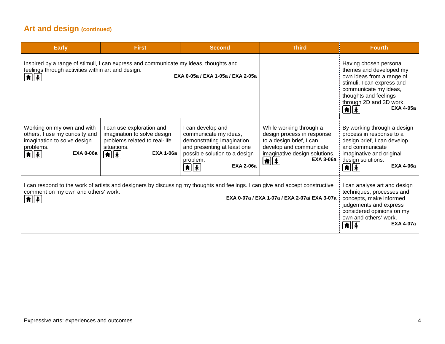| <b>Art and design (continued)</b>                                                                                                                                                                                                                                                                                                  |                                                                                                                                                                                         |                                                                                                                                                                                                                                    |                                                                                                                                                                                                                                                                          |                                                                                                                                                                                                  |
|------------------------------------------------------------------------------------------------------------------------------------------------------------------------------------------------------------------------------------------------------------------------------------------------------------------------------------|-----------------------------------------------------------------------------------------------------------------------------------------------------------------------------------------|------------------------------------------------------------------------------------------------------------------------------------------------------------------------------------------------------------------------------------|--------------------------------------------------------------------------------------------------------------------------------------------------------------------------------------------------------------------------------------------------------------------------|--------------------------------------------------------------------------------------------------------------------------------------------------------------------------------------------------|
| <b>Early</b>                                                                                                                                                                                                                                                                                                                       | <b>First</b>                                                                                                                                                                            | <b>Second</b>                                                                                                                                                                                                                      | <b>Third</b>                                                                                                                                                                                                                                                             | <b>Fourth</b>                                                                                                                                                                                    |
| Inspired by a range of stimuli, I can express and communicate my ideas, thoughts and<br>feelings through activities within art and design.<br>EXA 0-05a / EXA 1-05a / EXA 2-05a<br> #  ‡                                                                                                                                           |                                                                                                                                                                                         |                                                                                                                                                                                                                                    | Having chosen personal<br>themes and developed my<br>own ideas from a range of<br>stimuli, I can express and<br>communicate my ideas,<br>thoughts and feelings<br>through 2D and 3D work.<br><b>EXA 4-05a</b><br>$\left  \mathbf{f} \right $ $\left  \mathbf{f} \right $ |                                                                                                                                                                                                  |
| Working on my own and with<br>others, I use my curiosity and<br>imagination to solve design<br>problems.<br><b>EXA 0-06a</b><br>$ \pmb{\hat{\textbf{n}}} \pmb{\hat{\textbf{x}}} $                                                                                                                                                  | I can use exploration and<br>imagination to solve design<br>problems related to real-life<br>situations.<br><b>EXA 1-06a</b><br>$\left  \mathbf{f} \right $ $\left  \mathbf{f} \right $ | I can develop and<br>communicate my ideas,<br>demonstrating imagination<br>and presenting at least one<br>possible solution to a design<br>problem.<br><b>EXA 2-06a</b><br>$\left  \mathbf{f} \right $ $\left  \mathbf{f} \right $ | While working through a<br>design process in response<br>to a design brief, I can<br>develop and communicate<br>imaginative design solutions.<br><b>EXA 3-06a</b><br>$\left  \mathbf{f} \right $ $\left  \mathbf{f} \right $                                             | By working through a design<br>process in response to a<br>design brief, I can develop<br>and communicate<br>imaginative and original<br>design solutions.<br><b>EXA 4-06a</b><br> A  ‡          |
| can respond to the work of artists and designers by discussing my thoughts and feelings. I can give and accept constructive<br>comment on my own and others' work.<br>EXA 0-07a / EXA 1-07a / EXA 2-07a/ EXA 3-07a<br>$\left[ \text{\ensuremath{\mathsf{A}}} \right] \hspace{-0.1cm}\left[ \text{\ensuremath{\mathsf{A}}} \right]$ |                                                                                                                                                                                         |                                                                                                                                                                                                                                    |                                                                                                                                                                                                                                                                          | I can analyse art and design<br>techniques, processes and<br>concepts, make informed<br>judgements and express<br>considered opinions on my<br>own and others' work.<br><b>EXA 4-07a</b><br>11 4 |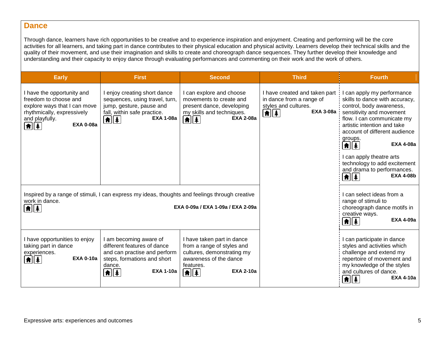## **Dance**

Through dance, learners have rich opportunities to be creative and to experience inspiration and enjoyment. Creating and performing will be the core activities for all learners, and taking part in dance contributes to their physical education and physical activity. Learners develop their technical skills and the quality of their movement, and use their imagination and skills to create and choreograph dance sequences. They further develop their knowledge and understanding and their capacity to enjoy dance through evaluating performances and commenting on their work and the work of others.

| <b>Early</b>                                                                                                                                                         | <b>First</b>                                                                                                                                                                                                                    | <b>Second</b>                                                                                                                                                                                                                                            | <b>Third</b>                                                                                                                                   | <b>Fourth</b>                                                                                                                                                                                                                                                                                                                                                                                                                                                     |
|----------------------------------------------------------------------------------------------------------------------------------------------------------------------|---------------------------------------------------------------------------------------------------------------------------------------------------------------------------------------------------------------------------------|----------------------------------------------------------------------------------------------------------------------------------------------------------------------------------------------------------------------------------------------------------|------------------------------------------------------------------------------------------------------------------------------------------------|-------------------------------------------------------------------------------------------------------------------------------------------------------------------------------------------------------------------------------------------------------------------------------------------------------------------------------------------------------------------------------------------------------------------------------------------------------------------|
| I have the opportunity and<br>freedom to choose and<br>explore ways that I can move<br>rhythmically, expressively<br>and playfully.<br><b>EXA 0-08a</b><br><b>AI</b> | l enjoy creating short dance<br>sequences, using travel, turn,<br>jump, gesture, pause and<br>fall, within safe practice.<br><b>EXA 1-08a</b><br>$\left  \boldsymbol{\hat{\textbf{m}}} \right $ $\boldsymbol{\hat{\textbf{A}}}$ | I can explore and choose<br>movements to create and<br>present dance, developing<br>my skills and techniques.<br><b>EXA 2-08a</b><br>$\left[ \text{\ensuremath{\widehat{\pi}}} \right] \hspace{-0.1cm} \left[ \text{\ensuremath{\widehat{\pi}}} \right]$ | I have created and taken part<br>in dance from a range of<br>styles and cultures.<br><b>EXA 3-08a</b><br>$\boxed{\uparrow}$ $\boxed{\uparrow}$ | can apply my performance<br>skills to dance with accuracy,<br>control, body awareness,<br>sensitivity and movement<br>flow. I can communicate my<br>artistic intention and take<br>account of different audience<br>groups.<br>$\left  \mathbf{f} \right $ $\left  \mathbf{f} \right $<br><b>EXA 4-08a</b><br>I can apply theatre arts<br>technology to add excitement<br>and drama to performances.<br><b>EXA 4-08b</b><br>$  \hat{\bm{\pi}}  \hat{\bm{\ast}}  $ |
| work in dance.<br><b>A</b>    ‡                                                                                                                                      | Inspired by a range of stimuli, I can express my ideas, thoughts and feelings through creative                                                                                                                                  | EXA 0-09a / EXA 1-09a / EXA 2-09a                                                                                                                                                                                                                        |                                                                                                                                                | l can select ideas from a<br>range of stimuli to<br>choreograph dance motifs in<br>creative ways.<br><b>EXA 4-09a</b><br>$\left  \textbf{f} \right  \left  \textbf{f} \right $                                                                                                                                                                                                                                                                                    |
| I have opportunities to enjoy<br>taking part in dance<br>experiences.<br><b>EXA 0-10a</b>                                                                            | I am becoming aware of<br>different features of dance<br>and can practise and perform<br>steps, formations and short<br>dance.<br><b>EXA 1-10a</b><br>$   \cdot   $                                                             | I have taken part in dance<br>from a range of styles and<br>cultures, demonstrating my<br>awareness of the dance<br>features.<br><b>EXA 2-10a</b><br> 侖  衤                                                                                               |                                                                                                                                                | I can participate in dance<br>styles and activities which<br>challenge and extend my<br>repertoire of movement and<br>my knowledge of the styles<br>and cultures of dance.<br><b>EXA 4-10a</b><br>$  \hat{\mathbf{n}}  \hat{\mathbf{z}}  $                                                                                                                                                                                                                        |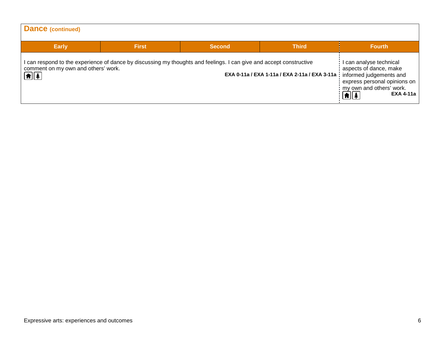| Dance (continued)                                           |              |                                                                                                                     |                                                                         |                                                                                                                                                    |
|-------------------------------------------------------------|--------------|---------------------------------------------------------------------------------------------------------------------|-------------------------------------------------------------------------|----------------------------------------------------------------------------------------------------------------------------------------------------|
| <b>Early</b>                                                | <b>First</b> | <b>Second</b>                                                                                                       | <b>Third</b>                                                            | <b>Fourth</b>                                                                                                                                      |
| comment on my own and others' work.<br>$\boxed{\textbf{f}}$ |              | I can respond to the experience of dance by discussing my thoughts and feelings. I can give and accept constructive | EXA 0-11a / EXA 1-11a / EXA 2-11a / EXA 3-11a   informed judgements and | I can analyse technical<br>aspects of dance, make<br>express personal opinions on<br>my own and others' work.<br><b>EXA 4-11a</b><br>$\frac{1}{2}$ |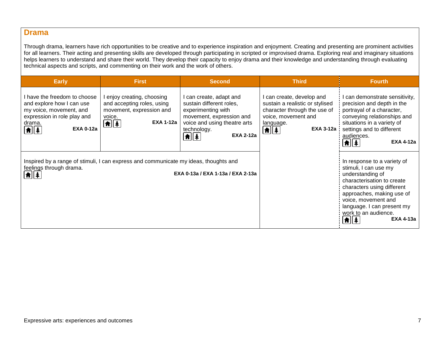## **Drama**

Through drama, learners have rich opportunities to be creative and to experience inspiration and enjoyment. Creating and presenting are prominent activities for all learners. Their acting and presenting skills are developed through participating in scripted or improvised drama. Exploring real and imaginary situations helps learners to understand and share their world. They develop their capacity to enjoy drama and their knowledge and understanding through evaluating technical aspects and scripts, and commenting on their work and the work of others.

| <b>Early</b>                                                                                                                                                                                                 | <b>First</b>                                                                                                                                     | <b>Second</b>                                                                                                                                                                                         | <b>Third</b>                                                                                                                                                               | <b>Fourth</b>                                                                                                                                                                                                                                                      |
|--------------------------------------------------------------------------------------------------------------------------------------------------------------------------------------------------------------|--------------------------------------------------------------------------------------------------------------------------------------------------|-------------------------------------------------------------------------------------------------------------------------------------------------------------------------------------------------------|----------------------------------------------------------------------------------------------------------------------------------------------------------------------------|--------------------------------------------------------------------------------------------------------------------------------------------------------------------------------------------------------------------------------------------------------------------|
| I have the freedom to choose<br>and explore how I can use<br>my voice, movement, and<br>expression in role play and<br>drama.<br><b>EXA 0-12a</b><br>$\left[ \textbf{f} \right]$ $\left[ \textbf{f} \right]$ | enjoy creating, choosing<br>and accepting roles, using<br>movement, expression and<br>voice.<br><b>EXA 1-12a</b><br>$\left[ \frac{1}{2} \right]$ | can create, adapt and<br>sustain different roles,<br>experimenting with<br>movement, expression and<br>voice and using theatre arts<br>technology.<br><b>EXA 2-12a</b><br>$\left  \mathbf{f} \right $ | I can create, develop and<br>sustain a realistic or stylised<br>character through the use of<br>voice, movement and<br>language.<br><b>EXA 3-12a</b><br>$\boxed{\uparrow}$ | I can demonstrate sensitivity,<br>precision and depth in the<br>portrayal of a character,<br>conveying relationships and<br>situations in a variety of<br>settings and to different<br>audiences.<br><b>EXA 4-12a</b><br> A  ‡                                     |
| Inspired by a range of stimuli, I can express and communicate my ideas, thoughts and<br>feelings through drama.<br>EXA 0-13a / EXA 1-13a / EXA 2-13a                                                         |                                                                                                                                                  |                                                                                                                                                                                                       |                                                                                                                                                                            | In response to a variety of<br>stimuli, I can use my<br>understanding of<br>characterisation to create<br>characters using different<br>approaches, making use of<br>voice, movement and<br>language. I can present my<br>work to an audience.<br><b>EXA 4-13a</b> |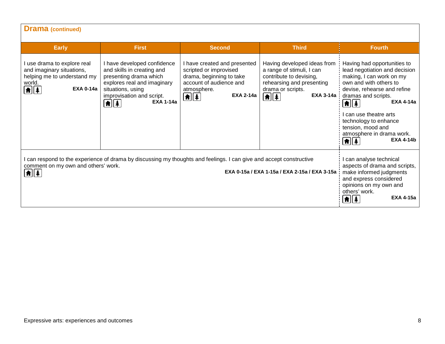| <b>Drama</b> (continued)                                                                                                                                                                          |                                                                                                                                                                                                                                      |                                                                                                                                                                                         |                                                                                                                                                                                 |                                                                                                                                                                                                                                                                                                                                                                                                                                                    |
|---------------------------------------------------------------------------------------------------------------------------------------------------------------------------------------------------|--------------------------------------------------------------------------------------------------------------------------------------------------------------------------------------------------------------------------------------|-----------------------------------------------------------------------------------------------------------------------------------------------------------------------------------------|---------------------------------------------------------------------------------------------------------------------------------------------------------------------------------|----------------------------------------------------------------------------------------------------------------------------------------------------------------------------------------------------------------------------------------------------------------------------------------------------------------------------------------------------------------------------------------------------------------------------------------------------|
| <b>Early</b>                                                                                                                                                                                      | <b>First</b>                                                                                                                                                                                                                         | <b>Second</b>                                                                                                                                                                           | <b>Third</b>                                                                                                                                                                    | <b>Fourth</b>                                                                                                                                                                                                                                                                                                                                                                                                                                      |
| I use drama to explore real<br>and imaginary situations,<br>helping me to understand my<br>world.<br><b>EXA 0-14a</b><br>$\bigcirc$ $\bigcirc$                                                    | I have developed confidence<br>and skills in creating and<br>presenting drama which<br>explores real and imaginary<br>situations, using<br>improvisation and script.<br><b>EXA 1-14a</b><br>$  \hat{\mathbf{n}}  \hat{\mathbf{x}}  $ | I have created and presented<br>scripted or improvised<br>drama, beginning to take<br>account of audience and<br>atmosphere.<br><b>EXA 2-14a</b><br>$\boxed{\bullet}$ $\boxed{\bullet}$ | Having developed ideas from<br>a range of stimuli, I can<br>contribute to devising,<br>rehearsing and presenting<br>drama or scripts.<br><b>EXA 3-14a</b><br>$\boxed{\uparrow}$ | Having had opportunities to<br>lead negotiation and decision<br>making, I can work on my<br>own and with others to<br>devise, rehearse and refine<br>dramas and scripts.<br><b>EXA 4-14a</b><br>$\left[\textcolor{red}{\pmb{\hat{\pi}}}\right]\left[\textcolor{red}{\pmb{\hat{\pi}}}\right]$<br>can use theatre arts<br>technology to enhance<br>tension, mood and<br>atmosphere in drama work.<br><b>EXA 4-14b</b><br>$\left  \mathbf{f} \right $ |
| I can respond to the experience of drama by discussing my thoughts and feelings. I can give and accept constructive<br>comment on my own and others' work.<br>$\boxed{\bullet}$ $\boxed{\bullet}$ | l can analyse technical<br>aspects of drama and scripts,<br>make informed judgments<br>and express considered<br>opinions on my own and<br>others' work.<br><b>EXA 4-15a</b><br>★∥↑                                                  |                                                                                                                                                                                         |                                                                                                                                                                                 |                                                                                                                                                                                                                                                                                                                                                                                                                                                    |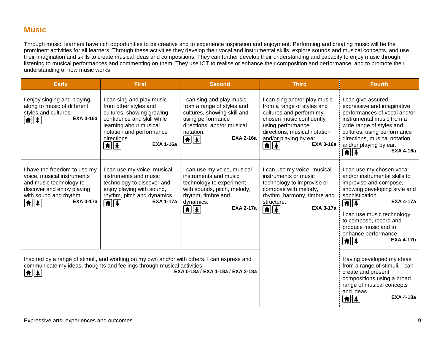# **Music**

Through music, learners have rich opportunities to be creative and to experience inspiration and enjoyment. Performing and creating music will be the prominent activities for all learners. Through these activities they develop their vocal and instrumental skills, explore sounds and musical concepts, and use their imagination and skills to create musical ideas and compositions. They can further develop their understanding and capacity to enjoy music through listening to musical performances and commenting on them. They use ICT to realise or enhance their composition and performance, and to promote their understanding of how music works.

| <b>Early</b>                                                                                                                                                                                                                                         | <b>First</b>                                                                                                                                                                                                                              | <b>Second</b>                                                                                                                                                                                                       | <b>Third</b>                                                                                                                                                                                                                                            | <b>Fourth</b>                                                                                                                                                                                                                                                                                                                                                 |
|------------------------------------------------------------------------------------------------------------------------------------------------------------------------------------------------------------------------------------------------------|-------------------------------------------------------------------------------------------------------------------------------------------------------------------------------------------------------------------------------------------|---------------------------------------------------------------------------------------------------------------------------------------------------------------------------------------------------------------------|---------------------------------------------------------------------------------------------------------------------------------------------------------------------------------------------------------------------------------------------------------|---------------------------------------------------------------------------------------------------------------------------------------------------------------------------------------------------------------------------------------------------------------------------------------------------------------------------------------------------------------|
| I enjoy singing and playing<br>along to music of different<br>styles and cultures.<br><b>EXA 0-16a</b><br>$  \hat{\mathbf{n}}  \hat{\mathbf{z}}  $                                                                                                   | I can sing and play music<br>from other styles and<br>cultures, showing growing<br>confidence and skill while<br>learning about musical<br>notation and performance<br>directions.<br><b>EXA 1-16a</b><br>$ \spadesuit $ $\spadesuit$ $ $ | I can sing and play music<br>from a range of styles and<br>cultures, showing skill and<br>using performance<br>directions, and/or musical<br>notation.<br><b>EXA 2-16a</b><br>$\boxed{\uparrow}$ $\boxed{\uparrow}$ | I can sing and/or play music<br>from a range of styles and<br>cultures and perform my<br>chosen music confidently<br>using performance<br>directions, musical notation<br>and/or playing by ear.<br><b>EXA 3-16a</b><br>$\left  \bm{\hat{\pi}} \right $ | I can give assured,<br>expressive and imaginative<br>performances of vocal and/or<br>instrumental music from a<br>wide range of styles and<br>cultures, using performance<br>directions, musical notation,<br>and/or playing by ear.<br><b>EXA 4-16a</b><br>$\left  \textbf{f} \right $ $\left  \textbf{f} \right $                                           |
| I have the freedom to use my<br>voice, musical instruments<br>and music technology to<br>discover and enjoy playing<br>with sound and rhythm.<br><b>EXA 0-17a</b><br>$\boxed{\textbf{f}}$                                                            | I can use my voice, musical<br>instruments and music<br>technology to discover and<br>enjoy playing with sound,<br>rhythm, pitch and dynamics.<br><b>EXA 1-17a</b><br>$\left  \mathbf{f} \right $                                         | I can use my voice, musical<br>instruments and music<br>technology to experiment<br>with sounds, pitch, melody,<br>rhythm, timbre and<br>dynamics.<br><b>EXA 2-17a</b><br>$  \hat{\mathbf{n}}  \hat{\mathbf{x}}  $  | I can use my voice, musical<br>instruments or music<br>technology to improvise or<br>compose with melody,<br>rhythm, harmony, timbre and<br>structure.<br><b>EXA 3-17a</b><br>$\left[ \textbf{f} \right]$ $\left[ \textbf{f} \right]$                   | I can use my chosen vocal<br>and/or instrumental skills to<br>improvise and compose,<br>showing developing style and<br>sophistication.<br><b>EXA 4-17a</b><br>$\boxed{\uparrow}$ $\boxed{\uparrow}$<br>can use music technology<br>to compose, record and<br>produce music and to<br>enhance performance.<br><b>EXA 4-17b</b><br>$\left  \mathbf{f} \right $ |
| Inspired by a range of stimuli, and working on my own and/or with others, I can express and<br>communicate my ideas, thoughts and feelings through musical activities.<br>EXA 0-18a / EXA 1-18a / EXA 2-18a<br>$  \hat{\bm{\pi}}  \hat{\bm{\ast}}  $ |                                                                                                                                                                                                                                           |                                                                                                                                                                                                                     |                                                                                                                                                                                                                                                         | Having developed my ideas<br>from a range of stimuli, I can<br>create and present<br>compositions using a broad<br>range of musical concepts<br>and ideas.<br><b>EXA 4-18a</b><br> A  ‡                                                                                                                                                                       |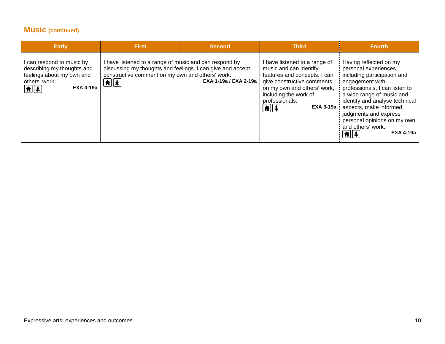| <b>Music (continued)</b>                                                                                                      |                                                                                                                                                                                                                                                 |                       |                                                                                                                                                                                                                                                          |                                                                                                                                                                                                                                                                                                                                                                                          |
|-------------------------------------------------------------------------------------------------------------------------------|-------------------------------------------------------------------------------------------------------------------------------------------------------------------------------------------------------------------------------------------------|-----------------------|----------------------------------------------------------------------------------------------------------------------------------------------------------------------------------------------------------------------------------------------------------|------------------------------------------------------------------------------------------------------------------------------------------------------------------------------------------------------------------------------------------------------------------------------------------------------------------------------------------------------------------------------------------|
| <b>Early</b>                                                                                                                  | <b>First</b>                                                                                                                                                                                                                                    | <b>Second</b>         | <b>Third</b>                                                                                                                                                                                                                                             | Fourth,                                                                                                                                                                                                                                                                                                                                                                                  |
| can respond to music by<br>describing my thoughts and<br>feelings about my own and<br>others' work.<br><b>EXA 0-19a</b><br>自主 | I have listened to a range of music and can respond by<br>discussing my thoughts and feelings. I can give and accept<br>constructive comment on my own and others' work.<br>$\left  \mathbf{\hat{n}} \right $ $\left  \mathbf{\hat{*}} \right $ | EXA 1-19a / EXA 2-19a | I have listened to a range of<br>music and can identify<br>features and concepts. I can<br>give constructive comments<br>on my own and others' work,<br>including the work of<br>professionals.<br>$\left  \hat{\mathbf{n}} \right $<br><b>EXA 3-19a</b> | Having reflected on my<br>personal experiences,<br>including participation and<br>engagement with<br>professionals, I can listen to<br>a wide range of music and<br>identify and analyse technical<br>aspects, make informed<br>judgments and express<br>personal opinions on my own<br>and others' work.<br><b>EXA 4-19a</b><br>$\parallel \hat{\mathbf{n}} \parallel \hat{\mathbf{A}}$ |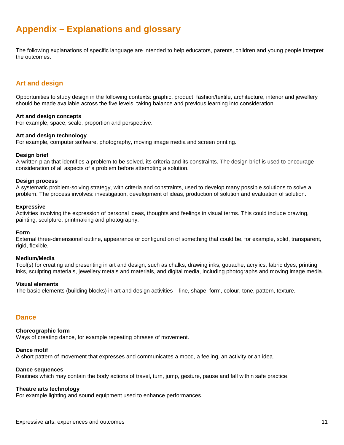# **Appendix – Explanations and glossary**

The following explanations of specific language are intended to help educators, parents, children and young people interpret the outcomes.

## **Art and design**

Opportunities to study design in the following contexts: graphic, product, fashion/textile, architecture, interior and jewellery should be made available across the five levels, taking balance and previous learning into consideration.

#### **Art and design concepts**

For example, space, scale, proportion and perspective.

#### **Art and design technology**

For example, computer software, photography, moving image media and screen printing.

#### **Design brief**

A written plan that identifies a problem to be solved, its criteria and its constraints. The design brief is used to encourage consideration of all aspects of a problem before attempting a solution.

#### **Design process**

A systematic problem-solving strategy, with criteria and constraints, used to develop many possible solutions to solve a problem. The process involves: investigation, development of ideas, production of solution and evaluation of solution.

#### **Expressive**

Activities involving the expression of personal ideas, thoughts and feelings in visual terms. This could include drawing, painting, sculpture, printmaking and photography.

#### **Form**

External three-dimensional outline, appearance or configuration of something that could be, for example, solid, transparent, rigid, flexible.

#### **Medium/Media**

Tool(s) for creating and presenting in art and design, such as chalks, drawing inks, gouache, acrylics, fabric dyes, printing inks, sculpting materials, jewellery metals and materials, and digital media, including photographs and moving image media.

#### **Visual elements**

The basic elements (building blocks) in art and design activities – line, shape, form, colour, tone, pattern, texture.

## **Dance**

## **Choreographic form**

Ways of creating dance, for example repeating phrases of movement.

## **Dance motif**

A short pattern of movement that expresses and communicates a mood, a feeling, an activity or an idea*.*

## **Dance sequences**

Routines which may contain the body actions of travel, turn, jump, gesture, pause and fall within safe practice.

## **Theatre arts technology**

For example lighting and sound equipment used to enhance performances.